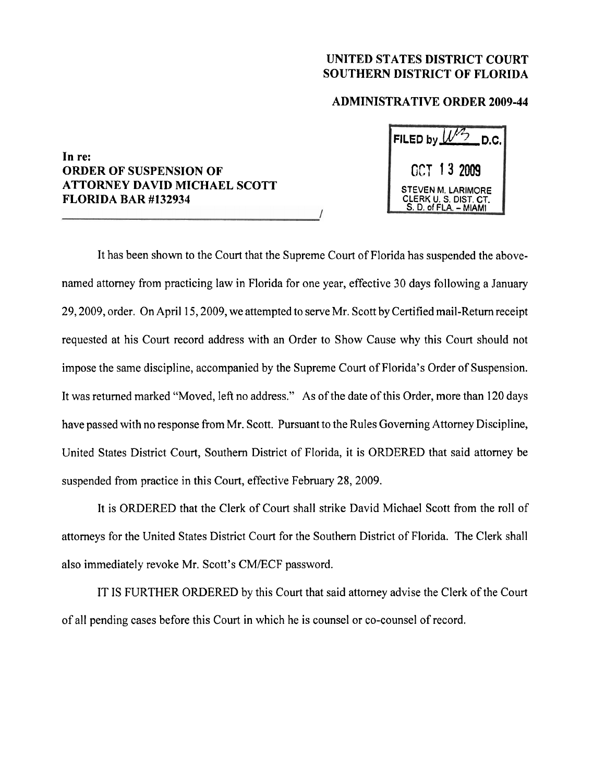## **UNITED STATES DISTRICT COURT SOUTHERN DISTRICT OF FLORIDA**

## **ADMINISTRATIVE ORDER 2009-44**

## **In re: ORDER OF SUSPENSION OF ATTORNEY DAVID MICHAEL SCOTT FLORIDA BAR #I32934**

| FILED by $W^2$<br>D.C.                                                      |
|-----------------------------------------------------------------------------|
| OCT 13 2009                                                                 |
| <b>STEVEN M. LARIMORE</b><br>CLERK U. S. DIST. CT.<br>S. D. of FLA. - MIAMI |

It has been shown to the Court that the Supreme Court of Florida has suspended the abovenamed attorney from practicing law in Florida for one year, effective 30 days following a January 29,2009, order. On April 15,2009, we attempted to serve Mr. Scott by Certified mail-Return receipt requested at his Court record address with an Order to Show Cause why this Court should not impose the same discipline, accompanied by the Supreme Court of Florida's Order of Suspension. It was returned marked "Moved, left no address." As of the date of this Order, more than 120 days have passed with no response from Mr. Scott. Pursuant to the Rules Governing Attorney Discipline, United States District Court, Southern District of Florida, it is ORDERED that said attorney be suspended from practice in this Court, effective February 28, 2009.

It is ORDERED that the Clerk of Court shall strike David Michael Scott from the roll of attorneys for the United States District Court for the Southern District of Florida. The Clerk shall also immediately revoke Mr. Scott's CM/ECF password.

IT IS FURTHER ORDERED by this Court that said attorney advise the Clerk of the Court of all pending cases before this Court in which he is counsel or co-counsel of record.